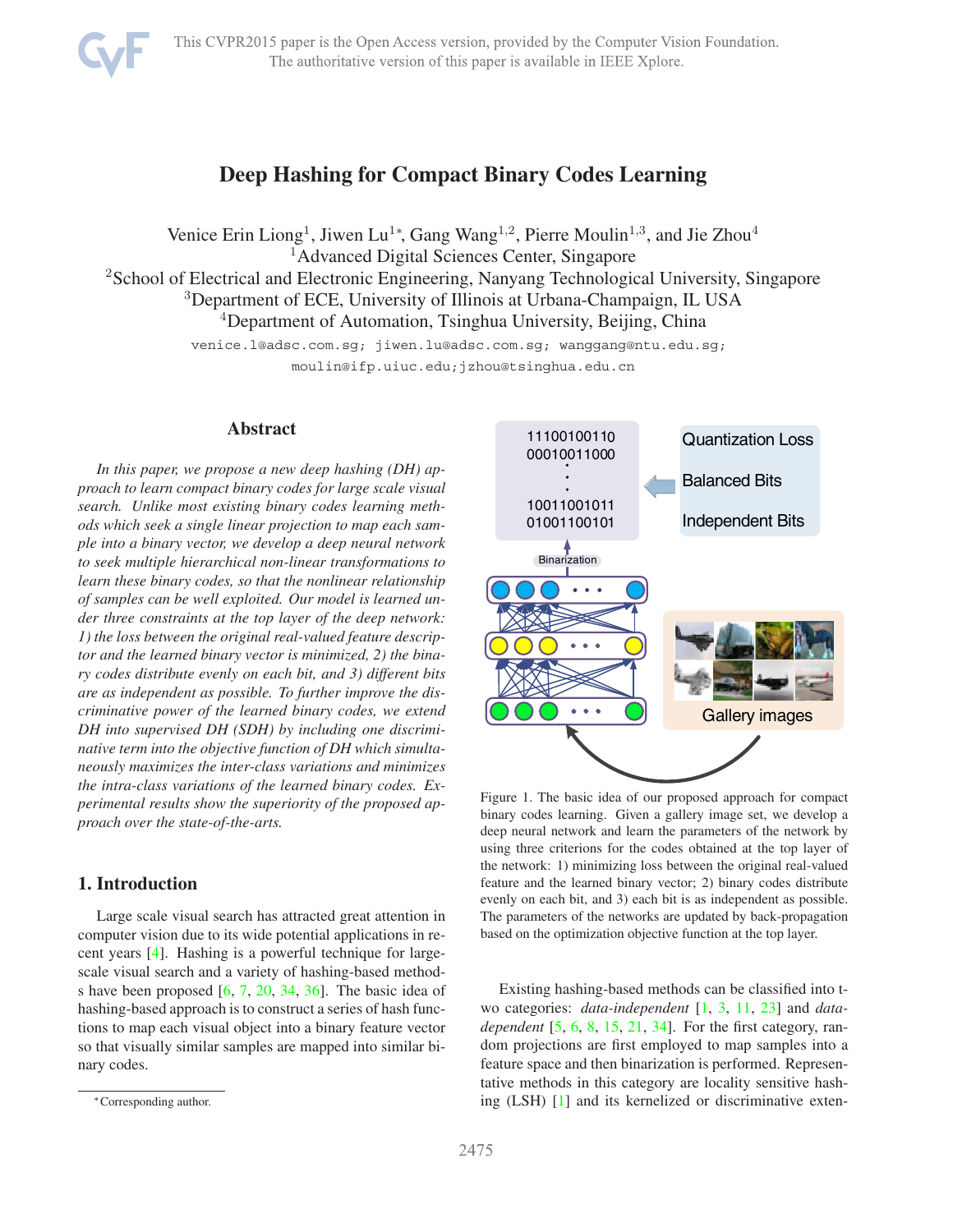# **Deep Hashing for Compact Binary Codes Learning**

<span id="page-0-1"></span>Venice Erin Liong<sup>1</sup>, Jiwen Lu<sup>1∗</sup>, Gang Wang<sup>1,2</sup>, Pierre Moulin<sup>1,3</sup>, and Jie Zhou<sup>4</sup> <sup>1</sup>Advanced Digital Sciences Center, Singapore <sup>2</sup>School of Electrical and Electronic Engineering, Nanyang Technological University, Singapore <sup>3</sup>Department of ECE, University of Illinois at Urbana-Champaign, IL USA <sup>4</sup>Department of Automation, Tsinghua University, Beijing, China

venice.l@adsc.com.sg; jiwen.lu@adsc.com.sg; wanggang@ntu.edu.sg;

moulin@ifp.uiuc.edu;jzhou@tsinghua.edu.cn

## **Abstract**

*In this paper, we propose a new deep hashing (DH) approach to learn compact binary codes for large scale visual search. Unlike most existing binary codes learning methods which seek a single linear projection to map each sample into a binary vector, we develop a deep neural network to seek multiple hierarchical non-linear transformations to learn these binary codes, so that the nonlinear relationship of samples can be well exploited. Our model is learned under three constraints at the top layer of the deep network: 1) the loss between the original real-valued feature descriptor and the learned binary vector is minimized, 2) the binary codes distribute evenly on each bit, and 3) different bits are as independent as possible. To further improve the discriminative power of the learned binary codes, we extend DH into supervised DH (SDH) by including one discriminative term into the objective function of DH which simultaneously maximizes the inter-class variations and minimizes the intra-class variations of the learned binary codes. Experimental results show the superiority of the proposed approach over the state-of-the-arts.*

## **1. Introduction**

Large scale visual search has attracted great attention in computer vision due to its wide potential applications in recent years [\[4\]](#page-8-0). Hashing is a powerful technique for largescale visual search and a variety of hashing-based methods have been proposed [\[6,](#page-8-1) [7,](#page-8-2) [20,](#page-8-3) [34,](#page-8-4) [36\]](#page-8-5). The basic idea of hashing-based approach is to construct a series of hash functions to map each visual object into a binary feature vector so that visually similar samples are mapped into similar binary codes.



<span id="page-0-0"></span>Figure 1. The basic idea of our proposed approach for compact binary codes learning. Given a gallery image set, we develop a deep neural network and learn the parameters of the network by using three criterions for the codes obtained at the top layer of the network: 1) minimizing loss between the original real-valued feature and the learned binary vector; 2) binary codes distribute evenly on each bit, and 3) each bit is as independent as possible. The parameters of the networks are updated by back-propagation based on the optimization objective function at the top layer.

Existing hashing-based methods can be classified into two categories: *data-independent* [\[1,](#page-8-6) [3,](#page-8-7) [11,](#page-8-8) [23\]](#page-8-9) and *datadependent* [\[5,](#page-8-10) [6,](#page-8-1) [8,](#page-8-11) [15,](#page-8-12) [21,](#page-8-13) [34\]](#page-8-4). For the first category, random projections are first employed to map samples into a feature space and then binarization is performed. Representative methods in this category are locality sensitive hashing (LSH) [\[1\]](#page-8-6) and its kernelized or discriminative exten-

<sup>∗</sup>Corresponding author.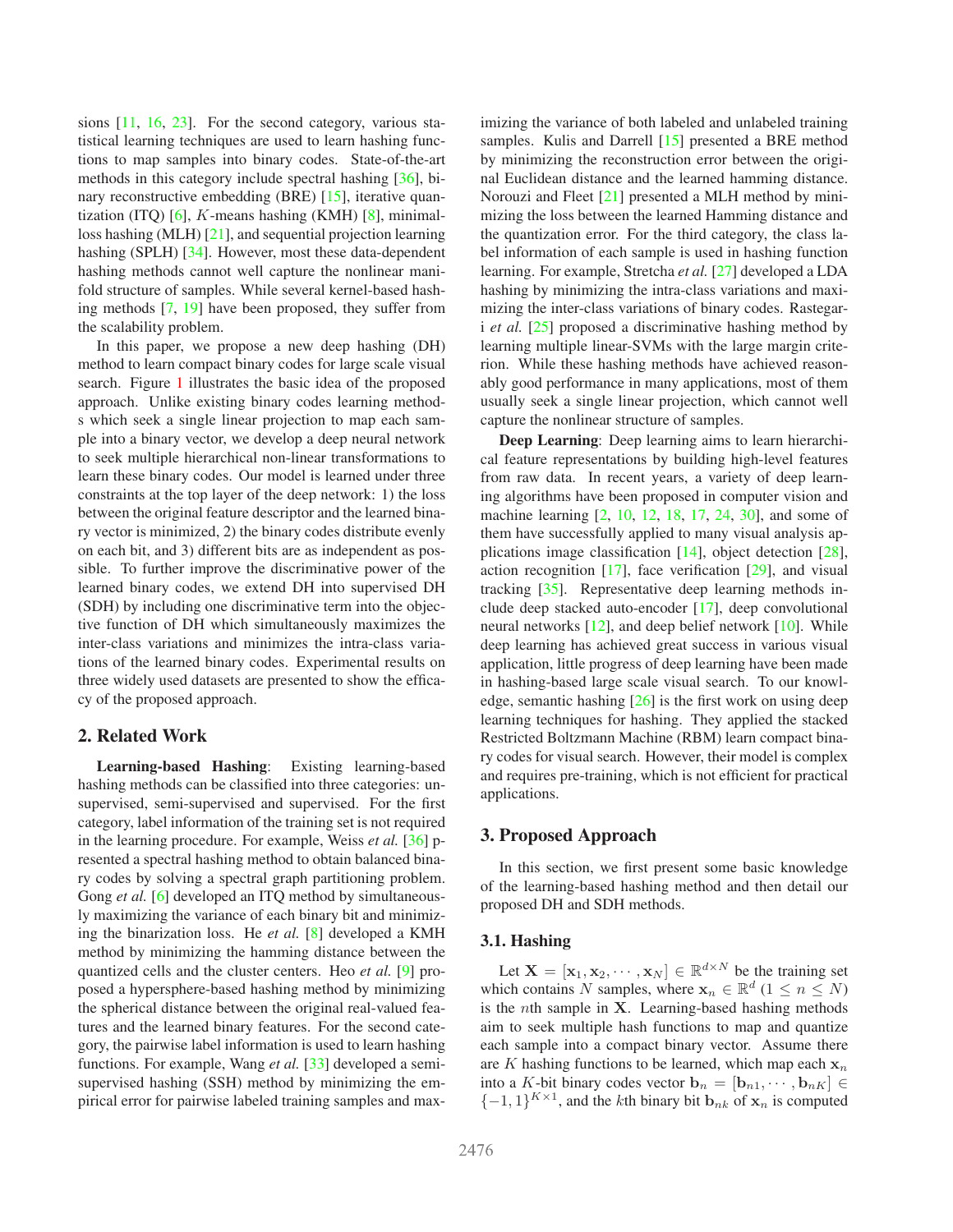<span id="page-1-0"></span>sions [\[11,](#page-8-8) [16,](#page-8-14) [23\]](#page-8-9). For the second category, various statistical learning techniques are used to learn hashing functions to map samples into binary codes. State-of-the-art methods in this category include spectral hashing [\[36\]](#page-8-5), binary reconstructive embedding (BRE) [\[15\]](#page-8-12), iterative quantization (ITQ)  $[6]$ , K-means hashing (KMH)  $[8]$ , minimalloss hashing (MLH) [\[21\]](#page-8-13), and sequential projection learning hashing (SPLH) [\[34\]](#page-8-4). However, most these data-dependent hashing methods cannot well capture the nonlinear manifold structure of samples. While several kernel-based hashing methods [\[7,](#page-8-2) [19\]](#page-8-15) have been proposed, they suffer from the scalability problem.

In this paper, we propose a new deep hashing (DH) method to learn compact binary codes for large scale visual search. Figure [1](#page-0-0) illustrates the basic idea of the proposed approach. Unlike existing binary codes learning methods which seek a single linear projection to map each sample into a binary vector, we develop a deep neural network to seek multiple hierarchical non-linear transformations to learn these binary codes. Our model is learned under three constraints at the top layer of the deep network: 1) the loss between the original feature descriptor and the learned binary vector is minimized, 2) the binary codes distribute evenly on each bit, and 3) different bits are as independent as possible. To further improve the discriminative power of the learned binary codes, we extend DH into supervised DH (SDH) by including one discriminative term into the objective function of DH which simultaneously maximizes the inter-class variations and minimizes the intra-class variations of the learned binary codes. Experimental results on three widely used datasets are presented to show the efficacy of the proposed approach.

#### **2. Related Work**

**Learning-based Hashing**: Existing learning-based hashing methods can be classified into three categories: unsupervised, semi-supervised and supervised. For the first category, label information of the training set is not required in the learning procedure. For example, Weiss *et al.* [\[36\]](#page-8-5) presented a spectral hashing method to obtain balanced binary codes by solving a spectral graph partitioning problem. Gong *et al.* [\[6\]](#page-8-1) developed an ITQ method by simultaneously maximizing the variance of each binary bit and minimizing the binarization loss. He *et al.* [\[8\]](#page-8-11) developed a KMH method by minimizing the hamming distance between the quantized cells and the cluster centers. Heo *et al.* [\[9\]](#page-8-16) proposed a hypersphere-based hashing method by minimizing the spherical distance between the original real-valued features and the learned binary features. For the second category, the pairwise label information is used to learn hashing functions. For example, Wang *et al.* [\[33\]](#page-8-17) developed a semisupervised hashing (SSH) method by minimizing the empirical error for pairwise labeled training samples and maximizing the variance of both labeled and unlabeled training samples. Kulis and Darrell [\[15\]](#page-8-12) presented a BRE method by minimizing the reconstruction error between the original Euclidean distance and the learned hamming distance. Norouzi and Fleet [\[21\]](#page-8-13) presented a MLH method by minimizing the loss between the learned Hamming distance and the quantization error. For the third category, the class label information of each sample is used in hashing function learning. For example, Stretcha *et al.* [\[27\]](#page-8-18) developed a LDA hashing by minimizing the intra-class variations and maximizing the inter-class variations of binary codes. Rastegari *et al.* [\[25\]](#page-8-19) proposed a discriminative hashing method by learning multiple linear-SVMs with the large margin criterion. While these hashing methods have achieved reasonably good performance in many applications, most of them usually seek a single linear projection, which cannot well capture the nonlinear structure of samples.

**Deep Learning**: Deep learning aims to learn hierarchical feature representations by building high-level features from raw data. In recent years, a variety of deep learning algorithms have been proposed in computer vision and machine learning [\[2,](#page-8-20) [10,](#page-8-21) [12,](#page-8-22) [18,](#page-8-23) [17,](#page-8-24) [24,](#page-8-25) [30\]](#page-8-26), and some of them have successfully applied to many visual analysis applications image classification [\[14\]](#page-8-27), object detection [\[28\]](#page-8-28), action recognition  $[17]$ , face verification  $[29]$ , and visual tracking [\[35\]](#page-8-30). Representative deep learning methods include deep stacked auto-encoder [\[17\]](#page-8-24), deep convolutional neural networks [\[12\]](#page-8-22), and deep belief network [\[10\]](#page-8-21). While deep learning has achieved great success in various visual application, little progress of deep learning have been made in hashing-based large scale visual search. To our knowledge, semantic hashing  $[26]$  is the first work on using deep learning techniques for hashing. They applied the stacked Restricted Boltzmann Machine (RBM) learn compact binary codes for visual search. However, their model is complex and requires pre-training, which is not efficient for practical applications.

#### **3. Proposed Approach**

In this section, we first present some basic knowledge of the learning-based hashing method and then detail our proposed DH and SDH methods.

## **3.1. Hashing**

Let  $\mathbf{X} = [\mathbf{x}_1, \mathbf{x}_2, \cdots, \mathbf{x}_N] \in \mathbb{R}^{d \times N}$  be the training set which contains N samples, where  $\mathbf{x}_n \in \mathbb{R}^d$  (1  $\leq n \leq N$ ) is the *nth* sample in **X**. Learning-based hashing methods aim to seek multiple hash functions to map and quantize each sample into a compact binary vector. Assume there are K hashing functions to be learned, which map each  $x_n$ into a K-bit binary codes vector  $\mathbf{b}_n = [\mathbf{b}_{n1}, \cdots, \mathbf{b}_{nK}] \in$  ${-1, 1}^{K \times 1}$ , and the kth binary bit  ${\bf b}_{nk}$  of  ${\bf x}_n$  is computed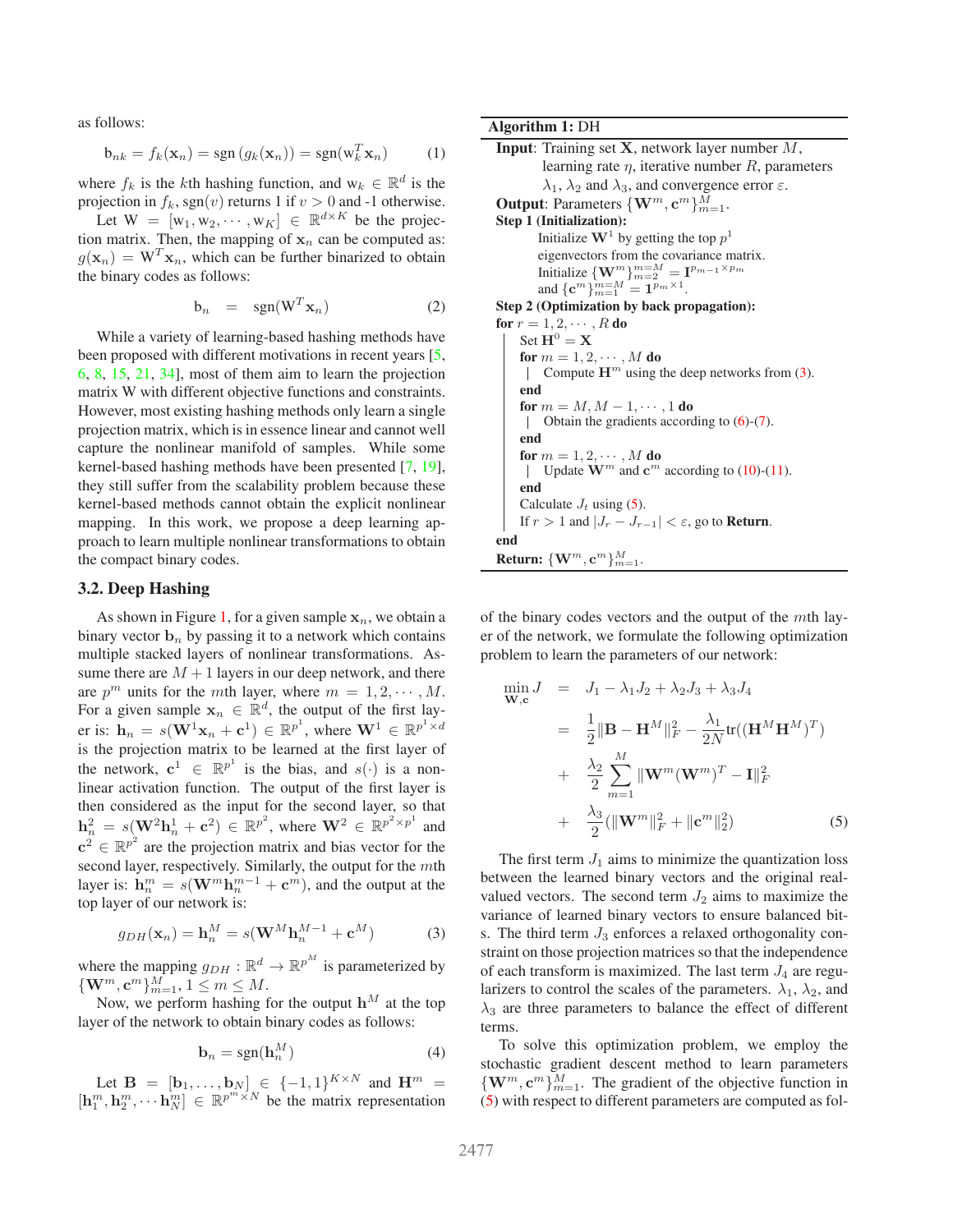<span id="page-2-2"></span>as follows:

$$
\mathbf{b}_{nk} = f_k(\mathbf{x}_n) = \text{sgn}\left(g_k(\mathbf{x}_n)\right) = \text{sgn}(\mathbf{w}_k^T \mathbf{x}_n) \tag{1}
$$

where  $f_k$  is the k<sup>th</sup> hashing function, and  $w_k \in \mathbb{R}^d$  is the projection in  $f_k$ , sgn(v) returns 1 if  $v > 0$  and -1 otherwise.

Let  $W = [w_1, w_2, \dots, w_K] \in \mathbb{R}^{d \times K}$  be the projection matrix. Then, the mapping of  $x_n$  can be computed as:  $g(\mathbf{x}_n) = \mathbf{W}^T \mathbf{x}_n$ , which can be further binarized to obtain the binary codes as follows:

$$
b_n = sgn(W^T \mathbf{x}_n) \tag{2}
$$

While a variety of learning-based hashing methods have been proposed with different motivations in recent years [\[5,](#page-8-10) [6,](#page-8-1) [8,](#page-8-11) [15,](#page-8-12) [21,](#page-8-13) [34\]](#page-8-4), most of them aim to learn the projection matrix W with different objective functions and constraints. However, most existing hashing methods only learn a single projection matrix, which is in essence linear and cannot well capture the nonlinear manifold of samples. While some kernel-based hashing methods have been presented [\[7,](#page-8-2) [19\]](#page-8-15), they still suffer from the scalability problem because these kernel-based methods cannot obtain the explicit nonlinear mapping. In this work, we propose a deep learning approach to learn multiple nonlinear transformations to obtain the compact binary codes.

#### **3.2. Deep Hashing**

As shown in Figure [1,](#page-0-0) for a given sample  $x_n$ , we obtain a binary vector  $\mathbf{b}_n$  by passing it to a network which contains multiple stacked layers of nonlinear transformations. Assume there are  $M + 1$  layers in our deep network, and there are  $p^m$  units for the mth layer, where  $m = 1, 2, \dots, M$ . For a given sample  $\mathbf{x}_n \in \mathbb{R}^d$ , the output of the first layer is:  $\mathbf{h}_n = s(\mathbf{W}^1 \mathbf{x}_n + \mathbf{c}^1) \in \mathbb{R}^{p^1}$ , where  $\mathbf{W}^1 \in \mathbb{R}^{p^1 \times d}$ is the projection matrix to be learned at the first layer of the network,  $c^1 \in \mathbb{R}^{p^1}$  is the bias, and  $s(\cdot)$  is a nonlinear activation function. The output of the first layer is then considered as the input for the second layer, so that  $h_n^2 = s(W^2h_n^1 + c^2) \in \mathbb{R}^{p^2}$ , where  $W^2 \in \mathbb{R}^{p^2 \times p^1}$  and  $c^2 \in \mathbb{R}^{p^2}$  are the projection matrix and bias vector for the second layer, respectively. Similarly, the output for the  $m$ th layer is:  $h_n^m = s(\mathbf{W}^m \mathbf{h}_n^{m-1} + \mathbf{c}^m)$ , and the output at the top layer of our network is:

<span id="page-2-0"></span>
$$
g_{DH}(\mathbf{x}_n) = \mathbf{h}_n^M = s(\mathbf{W}^M \mathbf{h}_n^{M-1} + \mathbf{c}^M)
$$
 (3)

where the mapping  $g_{DH} : \mathbb{R}^d \to \mathbb{R}^{p^M}$  is parameterized by  ${\{\mathbf W}^m, \mathbf c^m\}_{m=1}^M, 1 \leq m \leq M.$ 

Now, we perform hashing for the output  $\mathbf{h}^M$  at the top layer of the network to obtain binary codes as follows:

$$
\mathbf{b}_n = \text{sgn}(\mathbf{h}_n^M) \tag{4}
$$

Let  $\mathbf{B} = [\mathbf{b}_1, ..., \mathbf{b}_N] \in \{-1, 1\}^{K \times N}$  and  $\mathbf{H}^m =$  $[\mathbf{h}_1^m, \mathbf{h}_2^m, \cdots, \mathbf{h}_N^m] \in \mathbb{R}^{p^m \times N}$  be the matrix representation **Algorithm 1:** DH

```
Input: Training set X, network layer number M,
         learning rate \eta, iterative number R, parameters
         \lambda_1, \lambda_2 and \lambda_3, and convergence error \varepsilon.
Output: Parameters \{\mathbf{W}^m, \mathbf{c}^m\}_{m=1}^M.
Step 1 (Initialization):
        Initialize W<sup>1</sup> by getting the top p<sup>1</sup>eigenvectors from the covariance matrix.
        Initialize \{ \mathbf{W}^m \}_{m=2}^{m=M} = \mathbf{I}^{p_{m-1} \times p_m}and {\bf c}^m\sum_{m=1}^{m=M} \frac{1}{2} m^m \times 1.
Step 2 (Optimization by back propagation):
for r = 1, 2, \cdots, R do
    Set H^0 = Xfor m = 1, 2, \cdots, M do
         Compute \mathbf{H}^m(3).
     end
     for m = M, M - 1, \cdots, 1 do
         Obtain the gradients according to (6)-(7).
      \perpend
     for m = 1, 2, \cdots, M do
         Update \mathbf{W}^m and \mathbf{c}^m(10)(11).
     \mathbb{R}end
     Calculate J_t(5).
    If r > 1 and |J_r - J_{r-1}| < \varepsilon, go to Return.
end
{\bf Return: \{W^m, c^m\}}_{m=1}^M.
```
of the binary codes vectors and the output of the  $m$ th layer of the network, we formulate the following optimization problem to learn the parameters of our network:

<span id="page-2-1"></span>
$$
\min_{\mathbf{W},c} J = J_1 - \lambda_1 J_2 + \lambda_2 J_3 + \lambda_3 J_4
$$
  
\n
$$
= \frac{1}{2} \|\mathbf{B} - \mathbf{H}^M\|_F^2 - \frac{\lambda_1}{2N} \text{tr}((\mathbf{H}^M \mathbf{H}^M)^T)
$$
  
\n
$$
+ \frac{\lambda_2}{2} \sum_{m=1}^M \|\mathbf{W}^m (\mathbf{W}^m)^T - \mathbf{I}\|_F^2
$$
  
\n
$$
+ \frac{\lambda_3}{2} (\|\mathbf{W}^m\|_F^2 + \|\mathbf{c}^m\|_2^2)
$$
 (5)

The first term  $J_1$  aims to minimize the quantization loss between the learned binary vectors and the original realvalued vectors. The second term  $J_2$  aims to maximize the variance of learned binary vectors to ensure balanced bits. The third term  $J_3$  enforces a relaxed orthogonality constraint on those projection matrices so that the independence of each transform is maximized. The last term  $J_4$  are regularizers to control the scales of the parameters.  $\lambda_1$ ,  $\lambda_2$ , and  $\lambda_3$  are three parameters to balance the effect of different terms.

To solve this optimization problem, we employ the stochastic gradient descent method to learn parameters  ${\bf \{W}}^{m}, {\bf c}^{m}\}_{m=1}^{M}$ . The gradient of the objective function in [\(5\)](#page-2-1) with respect to different parameters are computed as fol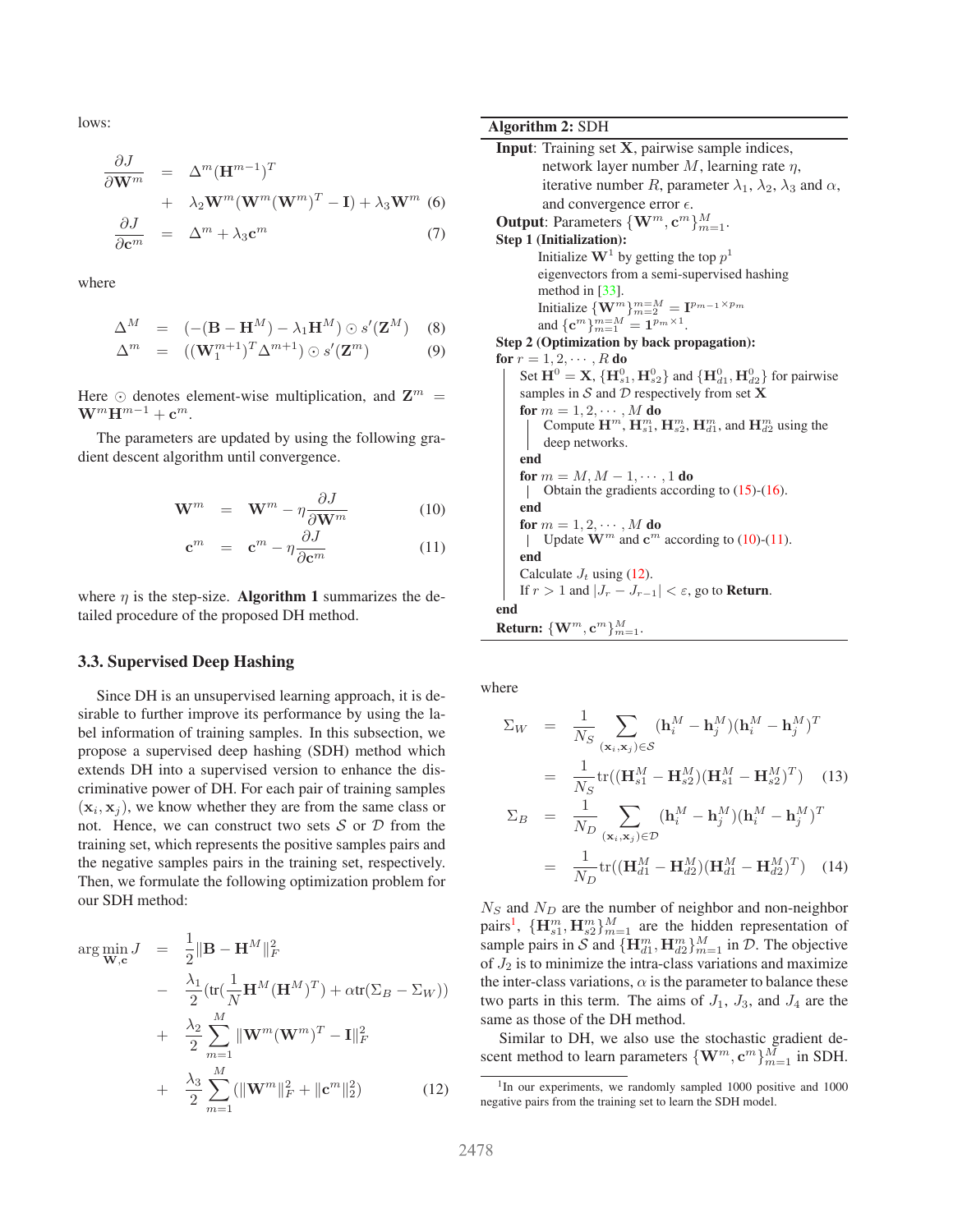<span id="page-3-4"></span>lows:

<span id="page-3-0"></span>
$$
\frac{\partial J}{\partial \mathbf{W}^m} = \Delta^m (\mathbf{H}^{m-1})^T \n+ \lambda_2 \mathbf{W}^m (\mathbf{W}^m (\mathbf{W}^m)^T - \mathbf{I}) + \lambda_3 \mathbf{W}^m
$$
\n(6)\n
$$
\frac{\partial J}{\partial \mathbf{c}^m} = \Delta^m + \lambda_3 \mathbf{c}^m
$$
\n(7)

where

$$
\Delta^M = (-(\mathbf{B} - \mathbf{H}^M) - \lambda_1 \mathbf{H}^M) \odot s'(\mathbf{Z}^M)
$$
 (8)

$$
\Delta^m = ((\mathbf{W}_1^{m+1})^T \Delta^{m+1}) \odot s'(\mathbf{Z}^m) \tag{9}
$$

Here  $\odot$  denotes element-wise multiplication, and  $\mathbf{Z}^m$  =  $\mathbf{W}^m \mathbf{H}^{m-1} + \mathbf{c}^m$ .

The parameters are updated by using the following gradient descent algorithm until convergence.

<span id="page-3-1"></span>
$$
\mathbf{W}^m = \mathbf{W}^m - \eta \frac{\partial J}{\partial \mathbf{W}^m}
$$
 (10)

$$
\mathbf{c}^m = \mathbf{c}^m - \eta \frac{\partial J}{\partial \mathbf{c}^m} \tag{11}
$$

where  $\eta$  is the step-size. **Algorithm 1** summarizes the detailed procedure of the proposed DH method.

#### **3.3. Supervised Deep Hashing**

Since DH is an unsupervised learning approach, it is desirable to further improve its performance by using the label information of training samples. In this subsection, we propose a supervised deep hashing (SDH) method which extends DH into a supervised version to enhance the discriminative power of DH. For each pair of training samples  $(\mathbf{x}_i, \mathbf{x}_j)$ , we know whether they are from the same class or not. Hence, we can construct two sets  $S$  or  $D$  from the training set, which represents the positive samples pairs and the negative samples pairs in the training set, respectively. Then, we formulate the following optimization problem for our SDH method:

<span id="page-3-2"></span>
$$
\arg \min_{\mathbf{W}, \mathbf{c}} J = \frac{1}{2} \|\mathbf{B} - \mathbf{H}^{M}\|_{F}^{2}
$$
  
\n
$$
- \frac{\lambda_{1}}{2} (\text{tr}(\frac{1}{N} \mathbf{H}^{M} (\mathbf{H}^{M})^{T}) + \alpha \text{tr}(\Sigma_{B} - \Sigma_{W}))
$$
  
\n
$$
+ \frac{\lambda_{2}}{2} \sum_{m=1}^{M} \|\mathbf{W}^{m} (\mathbf{W}^{m})^{T} - \mathbf{I}\|_{F}^{2}
$$
  
\n
$$
+ \frac{\lambda_{3}}{2} \sum_{m=1}^{M} (\|\mathbf{W}^{m}\|_{F}^{2} + \|\mathbf{c}^{m}\|_{2}^{2})
$$
(12)

#### **Algorithm 2:** SDH

```
Input: Training set X, pairwise sample indices,
          network layer number M, learning rate \eta,
          iterative number R, parameter \lambda_1, \lambda_2, \lambda_3 and \alpha,
          and convergence error \epsilon.
Output: Parameters \{\mathbf{W}^m, \mathbf{c}^m\}_{m=1}^M.
Step 1 (Initialization):
         Initialize \mathbf{W}^1 by getting the top p^1eigenvectors from a semi-supervised hashing
         method in [33].
         Initialize {\{\mathbf W}^m\}_{m=2}^{m=M} = {\mathbf I}^{p_{m-1}\times p_m}and {\bf c}^m\}_{m=1}^{m=M} = {\bf 1}^{p_m \times 1}.
Step 2 (Optimization by back propagation):
for r = 1, 2, \cdots, R do
      Set \mathbf{H}^0 = \mathbf{X}, \{\mathbf{H}_{s1}^0, \mathbf{H}_{s2}^0\} and \{\mathbf{H}_{d1}^0, \mathbf{H}_{d2}^0\} for pairwise
     samples in S and D respectively from set Xfor m = 1, 2, \cdots, M do
           Compute \mathbf{H}^m, \mathbf{H}^m_{s1}, \mathbf{H}^m_{s2}, \mathbf{H}^m_{d1}, and \mathbf{H}^m_{d2} using the
           deep networks.
     end
     for m = M, M - 1, \cdots, 1 do
          Obtain the gradients according to (15)-(16).
      \perpend
     for m = 1, 2, \cdots, M do
          Update \mathbf{W}^m and \mathbf{c}^m(10)(11).
      \mathbf{I}end
     Calculate J_t(12).
     If r > 1 and |J_r - J_{r-1}| < \varepsilon, go to Return.
end
\mathbf{Return: } \{ \mathbf{W}^{m}, \mathbf{c}^{m} \}_{m=1}^{M}.
```
where

$$
\Sigma_W = \frac{1}{N_S} \sum_{(\mathbf{x}_i, \mathbf{x}_j) \in S} (\mathbf{h}_i^M - \mathbf{h}_j^M) (\mathbf{h}_i^M - \mathbf{h}_j^M)^T
$$
  
\n
$$
= \frac{1}{N_S} tr((\mathbf{H}_{s1}^M - \mathbf{H}_{s2}^M) (\mathbf{H}_{s1}^M - \mathbf{H}_{s2}^M)^T) \quad (13)
$$
  
\n
$$
\Sigma_B = \frac{1}{N_D} \sum_{(\mathbf{x}_i, \mathbf{x}_j) \in \mathcal{D}} (\mathbf{h}_i^M - \mathbf{h}_j^M) (\mathbf{h}_i^M - \mathbf{h}_j^M)^T
$$
  
\n
$$
= \frac{1}{N_D} tr((\mathbf{H}_{d1}^M - \mathbf{H}_{d2}^M) (\mathbf{H}_{d1}^M - \mathbf{H}_{d2}^M)^T) \quad (14)
$$

 $N<sub>S</sub>$  and  $N<sub>D</sub>$  are the number of neighbor and non-neighbor pairs<sup>[1](#page-3-3)</sup>,  $\{\mathbf{H}_{s1}^m, \mathbf{H}_{s2}^m\}_{m=1}^M$  are the hidden representation of sample pairs in S and  ${\{\mathbf{H}_{d1}^{m}, \mathbf{H}_{d2}^{m}\}}_{m=1}^{M}$  in D. The objective of  $J_2$  is to minimize the intra-class variations and maximize the inter-class variations,  $\alpha$  is the parameter to balance these two parts in this term. The aims of  $J_1$ ,  $J_3$ , and  $J_4$  are the same as those of the DH method.

Similar to DH, we also use the stochastic gradient descent method to learn parameters  $\{\mathbf{W}^m, \mathbf{c}^m\}_{m=1}^M$  in SDH.

<span id="page-3-3"></span><sup>&</sup>lt;sup>1</sup>In our experiments, we randomly sampled 1000 positive and 1000 negative pairs from the training set to learn the SDH model.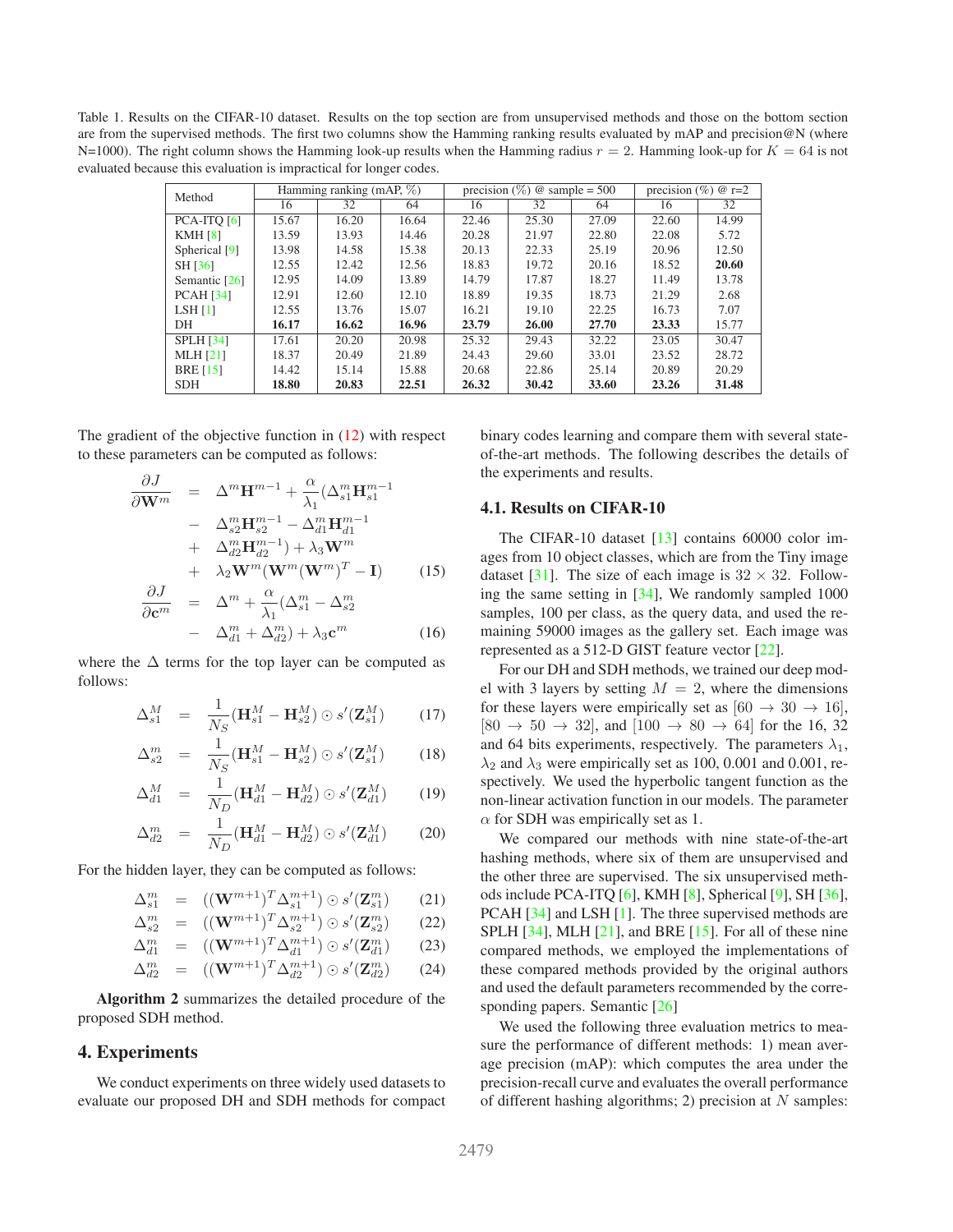<span id="page-4-2"></span><span id="page-4-1"></span>Table 1. Results on the CIFAR-10 dataset. Results on the top section are from unsupervised methods and those on the bottom section are from the supervised methods. The first two columns show the Hamming ranking results evaluated by mAP and precision@N (where N=1000). The right column shows the Hamming look-up results when the Hamming radius  $r = 2$ . Hamming look-up for  $K = 64$  is not evaluated because this evaluation is impractical for longer codes.

| Method           | Hamming ranking (mAP, $\%$ ) |       |       | precision $(\%)$ @ sample = 500 |       |       | precision $(\% )$ @ r=2 |       |
|------------------|------------------------------|-------|-------|---------------------------------|-------|-------|-------------------------|-------|
|                  | 16                           | 32    | 64    | 16                              | 32    | 64    | 16                      | 32    |
| $PCA-ITQ[6]$     | 15.67                        | 16.20 | 16.64 | 22.46                           | 25.30 | 27.09 | 22.60                   | 14.99 |
| KMH[8]           | 13.59                        | 13.93 | 14.46 | 20.28                           | 21.97 | 22.80 | 22.08                   | 5.72  |
| Spherical [9]    | 13.98                        | 14.58 | 15.38 | 20.13                           | 22.33 | 25.19 | 20.96                   | 12.50 |
| SH [36]          | 12.55                        | 12.42 | 12.56 | 18.83                           | 19.72 | 20.16 | 18.52                   | 20.60 |
| Semantic [26]    | 12.95                        | 14.09 | 13.89 | 14.79                           | 17.87 | 18.27 | 11.49                   | 13.78 |
| <b>PCAH</b> [34] | 12.91                        | 12.60 | 12.10 | 18.89                           | 19.35 | 18.73 | 21.29                   | 2.68  |
| LSH[1]           | 12.55                        | 13.76 | 15.07 | 16.21                           | 19.10 | 22.25 | 16.73                   | 7.07  |
| DH               | 16.17                        | 16.62 | 16.96 | 23.79                           | 26.00 | 27.70 | 23.33                   | 15.77 |
| <b>SPLH</b> [34] | 17.61                        | 20.20 | 20.98 | 25.32                           | 29.43 | 32.22 | 23.05                   | 30.47 |
| <b>MLH</b> [21]  | 18.37                        | 20.49 | 21.89 | 24.43                           | 29.60 | 33.01 | 23.52                   | 28.72 |
| <b>BRE</b> [15]  | 14.42                        | 15.14 | 15.88 | 20.68                           | 22.86 | 25.14 | 20.89                   | 20.29 |
| <b>SDH</b>       | 18.80                        | 20.83 | 22.51 | 26.32                           | 30.42 | 33.60 | 23.26                   | 31.48 |

The gradient of the objective function in [\(12\)](#page-3-2) with respect to these parameters can be computed as follows:

<span id="page-4-0"></span>
$$
\frac{\partial J}{\partial \mathbf{W}^m} = \Delta^m \mathbf{H}^{m-1} + \frac{\alpha}{\lambda_1} (\Delta_{s1}^m \mathbf{H}_{s1}^{m-1} \n- \Delta_{s2}^m \mathbf{H}_{s2}^{m-1} - \Delta_{d1}^m \mathbf{H}_{d1}^{m-1} \n+ \Delta_{d2}^m \mathbf{H}_{d2}^{m-1}) + \lambda_3 \mathbf{W}^m \n+ \lambda_2 \mathbf{W}^m (\mathbf{W}^m (\mathbf{W}^m)^T - \mathbf{I}) \qquad (15) \n\frac{\partial J}{\partial \mathbf{c}^m} = \Delta^m + \frac{\alpha}{\lambda_1} (\Delta_{s1}^m - \Delta_{s2}^m)
$$

$$
\overline{m} = \Delta + \overline{\lambda_1} (\Delta_{s1} - \Delta_{s2})
$$

$$
- \Delta_{d1}^m + \Delta_{d2}^m) + \lambda_3 \mathbf{c}^m
$$
(16)

where the  $\Delta$  terms for the top layer can be computed as follows:

$$
\Delta_{s1}^M = \frac{1}{N_S} (\mathbf{H}_{s1}^M - \mathbf{H}_{s2}^M) \odot s'(\mathbf{Z}_{s1}^M) \qquad (17)
$$

$$
\Delta_{s2}^m = \frac{1}{N_S} (\mathbf{H}_{s1}^M - \mathbf{H}_{s2}^M) \odot s'(\mathbf{Z}_{s1}^M)
$$
 (18)

$$
\Delta_{d1}^M = \frac{1}{N_D} (\mathbf{H}_{d1}^M - \mathbf{H}_{d2}^M) \odot s'(\mathbf{Z}_{d1}^M) \qquad (19)
$$

$$
\Delta_{d2}^m = \frac{1}{N_D} (\mathbf{H}_{d1}^M - \mathbf{H}_{d2}^M) \odot s'(\mathbf{Z}_{d1}^M) \qquad (20)
$$

For the hidden layer, they can be computed as follows:

$$
\Delta_{s1}^m = ((\mathbf{W}^{m+1})^T \Delta_{s1}^{m+1}) \odot s'(\mathbf{Z}_{s1}^m) \qquad (21)
$$

$$
\Delta_{s2}^m = ((\mathbf{W}^{m+1})^T \Delta_{s2}^{m+1}) \odot s'(\mathbf{Z}_{s2}^m) \qquad (22)
$$

$$
\Delta_{d1}^{m} = ((\mathbf{W}^{m+1})^T \Delta_{d1}^{m+1}) \odot s'(\mathbf{Z}_{d1}^{m}) \qquad (23)
$$

$$
\Delta_{d2}^{m} = ((\mathbf{W}^{m+1})^T \Delta_{d2}^{m+1}) \odot s'(\mathbf{Z}_{d2}^{m}) \qquad (24)
$$

**Algorithm 2** summarizes the detailed procedure of the proposed SDH method.

### **4. Experiments**

We conduct experiments on three widely used datasets to evaluate our proposed DH and SDH methods for compact binary codes learning and compare them with several stateof-the-art methods. The following describes the details of the experiments and results.

#### **4.1. Results on CIFAR-10**

The CIFAR-10 dataset [\[13\]](#page-8-32) contains 60000 color images from 10 object classes, which are from the Tiny image dataset [\[31\]](#page-8-33). The size of each image is  $32 \times 32$ . Following the same setting in [\[34\]](#page-8-4), We randomly sampled 1000 samples, 100 per class, as the query data, and used the remaining 59000 images as the gallery set. Each image was represented as a 512-D GIST feature vector [\[22\]](#page-8-34).

For our DH and SDH methods, we trained our deep model with 3 layers by setting  $M = 2$ , where the dimensions for these layers were empirically set as  $[60 \rightarrow 30 \rightarrow 16]$ ,  $[80 \to 50 \to 32]$ , and  $[100 \to 80 \to 64]$  for the 16, 32 and 64 bits experiments, respectively. The parameters  $\lambda_1$ ,  $\lambda_2$  and  $\lambda_3$  were empirically set as 100, 0.001 and 0.001, respectively. We used the hyperbolic tangent function as the non-linear activation function in our models. The parameter  $\alpha$  for SDH was empirically set as 1.

We compared our methods with nine state-of-the-art hashing methods, where six of them are unsupervised and the other three are supervised. The six unsupervised methods include PCA-ITQ [\[6\]](#page-8-1), KMH [\[8\]](#page-8-11), Spherical [\[9\]](#page-8-16), SH [\[36\]](#page-8-5), PCAH [\[34\]](#page-8-4) and LSH [\[1\]](#page-8-6). The three supervised methods are SPLH  $[34]$ , MLH  $[21]$ , and BRE  $[15]$ . For all of these nine compared methods, we employed the implementations of these compared methods provided by the original authors and used the default parameters recommended by the corresponding papers. Semantic [\[26\]](#page-8-31)

We used the following three evaluation metrics to measure the performance of different methods: 1) mean average precision (mAP): which computes the area under the precision-recall curve and evaluates the overall performance of different hashing algorithms; 2) precision at  $N$  samples: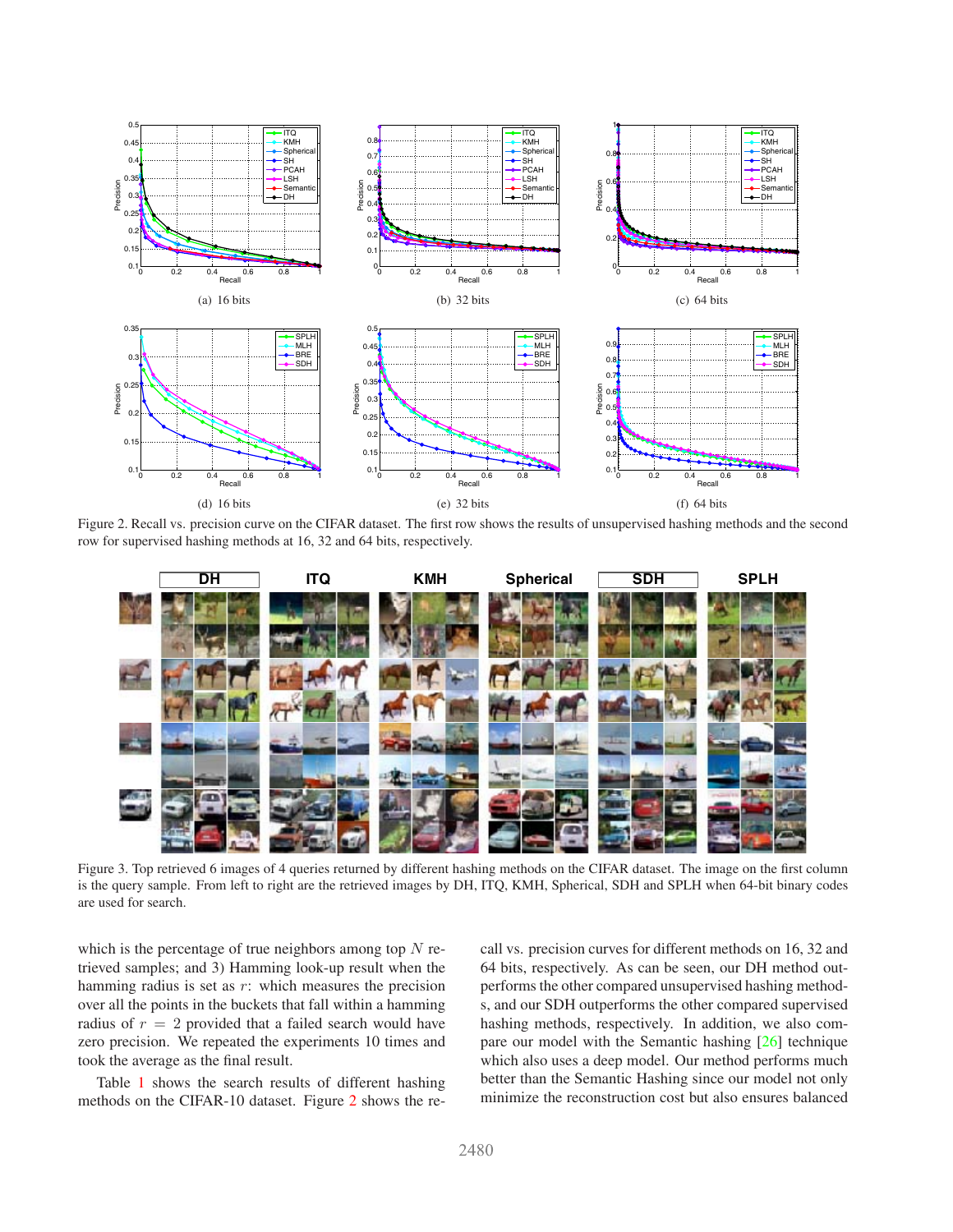<span id="page-5-2"></span>

Figure 2. Recall vs. precision curve on the CIFAR dataset. The first row shows the results of unsupervised hashing methods and the second row for supervised hashing methods at 16, 32 and 64 bits, respectively.

<span id="page-5-0"></span>

<span id="page-5-1"></span>Figure 3. Top retrieved 6 images of 4 queries returned by different hashing methods on the CIFAR dataset. The image on the first column is the query sample. From left to right are the retrieved images by DH, ITQ, KMH, Spherical, SDH and SPLH when 64-bit binary codes are used for search.

which is the percentage of true neighbors among top  $N$  retrieved samples; and 3) Hamming look-up result when the hamming radius is set as  $r$ : which measures the precision over all the points in the buckets that fall within a hamming radius of  $r = 2$  provided that a failed search would have zero precision. We repeated the experiments 10 times and took the average as the final result.

Table [1](#page-4-1) shows the search results of different hashing methods on the CIFAR-10 dataset. Figure [2](#page-5-0) shows the recall vs. precision curves for different methods on 16, 32 and 64 bits, respectively. As can be seen, our DH method outperforms the other compared unsupervised hashing methods, and our SDH outperforms the other compared supervised hashing methods, respectively. In addition, we also compare our model with the Semantic hashing [\[26\]](#page-8-31) technique which also uses a deep model. Our method performs much better than the Semantic Hashing since our model not only minimize the reconstruction cost but also ensures balanced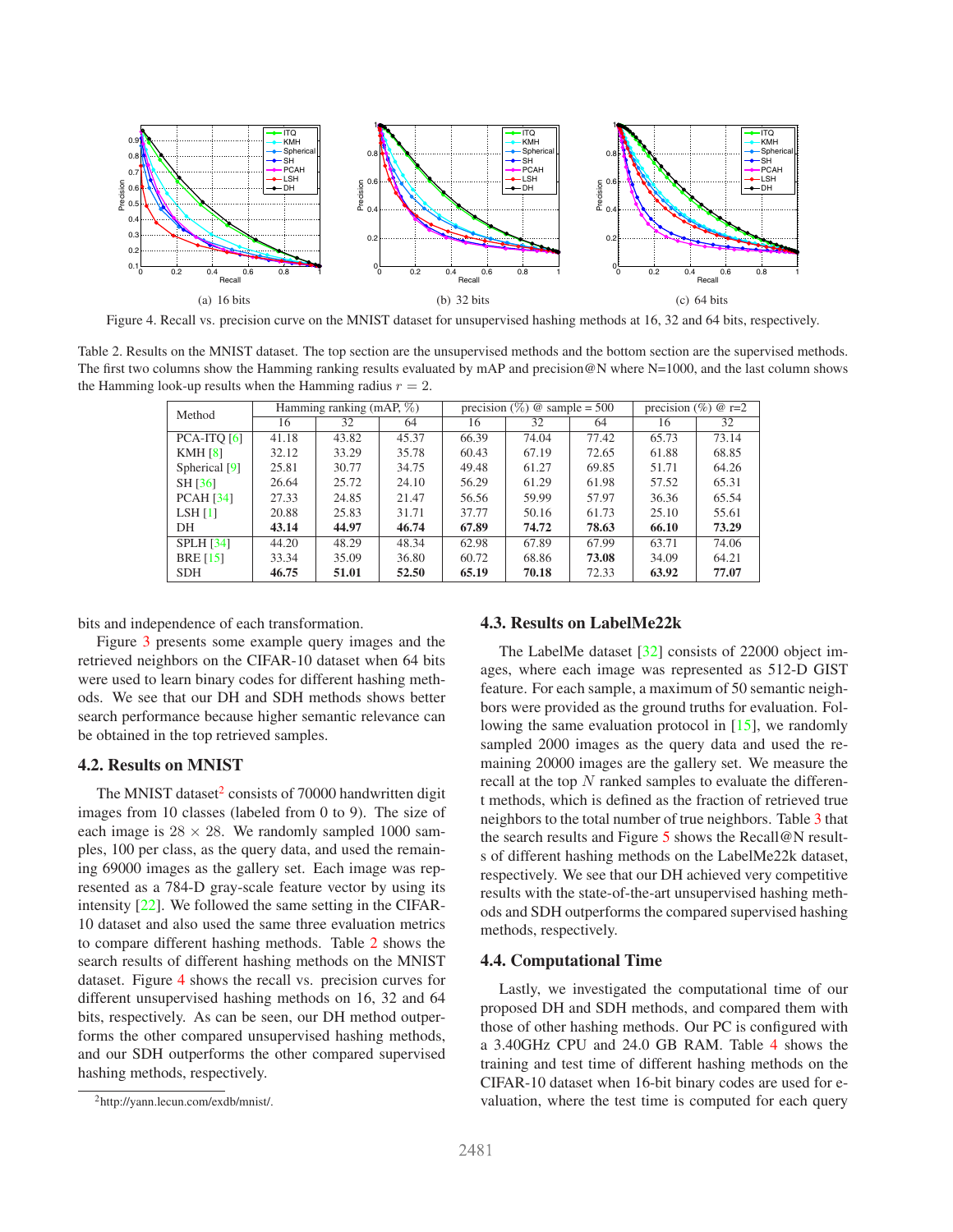<span id="page-6-3"></span>

<span id="page-6-2"></span><span id="page-6-1"></span>Figure 4. Recall vs. precision curve on the MNIST dataset for unsupervised hashing methods at 16, 32 and 64 bits, respectively.

Table 2. Results on the MNIST dataset. The top section are the unsupervised methods and the bottom section are the supervised methods. The first two columns show the Hamming ranking results evaluated by mAP and precision@N where N=1000, and the last column shows the Hamming look-up results when the Hamming radius  $r = 2$ .

| Method           | Hamming ranking (mAP, $\%$ ) |       |       | precision $(\%)$ @ sample = 500 |       |       | precision $(\% )$ @ r=2 |       |
|------------------|------------------------------|-------|-------|---------------------------------|-------|-------|-------------------------|-------|
|                  | 16                           | 32    | 64    | 16                              | 32    | 64    | 16                      | 32    |
| $PCA-ITQ[6]$     | 41.18                        | 43.82 | 45.37 | 66.39                           | 74.04 | 77.42 | 65.73                   | 73.14 |
| KMH[8]           | 32.12                        | 33.29 | 35.78 | 60.43                           | 67.19 | 72.65 | 61.88                   | 68.85 |
| Spherical [9]    | 25.81                        | 30.77 | 34.75 | 49.48                           | 61.27 | 69.85 | 51.71                   | 64.26 |
| SH [36]          | 26.64                        | 25.72 | 24.10 | 56.29                           | 61.29 | 61.98 | 57.52                   | 65.31 |
| <b>PCAH</b> [34] | 27.33                        | 24.85 | 21.47 | 56.56                           | 59.99 | 57.97 | 36.36                   | 65.54 |
| LSH[1]           | 20.88                        | 25.83 | 31.71 | 37.77                           | 50.16 | 61.73 | 25.10                   | 55.61 |
| DH               | 43.14                        | 44.97 | 46.74 | 67.89                           | 74.72 | 78.63 | 66.10                   | 73.29 |
| <b>SPLH</b> [34] | 44.20                        | 48.29 | 48.34 | 62.98                           | 67.89 | 67.99 | 63.71                   | 74.06 |
| <b>BRE</b> [15]  | 33.34                        | 35.09 | 36.80 | 60.72                           | 68.86 | 73.08 | 34.09                   | 64.21 |
| <b>SDH</b>       | 46.75                        | 51.01 | 52.50 | 65.19                           | 70.18 | 72.33 | 63.92                   | 77.07 |

bits and independence of each transformation.

Figure [3](#page-5-1) presents some example query images and the retrieved neighbors on the CIFAR-10 dataset when 64 bits were used to learn binary codes for different hashing methods. We see that our DH and SDH methods shows better search performance because higher semantic relevance can be obtained in the top retrieved samples.

### **4.2. Results on MNIST**

The MNIST dataset $2$  consists of 70000 handwritten digit images from 10 classes (labeled from 0 to 9). The size of each image is  $28 \times 28$ . We randomly sampled 1000 samples, 100 per class, as the query data, and used the remaining 69000 images as the gallery set. Each image was represented as a 784-D gray-scale feature vector by using its intensity [\[22\]](#page-8-34). We followed the same setting in the CIFAR-10 dataset and also used the same three evaluation metrics to compare different hashing methods. Table [2](#page-6-1) shows the search results of different hashing methods on the MNIST dataset. Figure [4](#page-6-2) shows the recall vs. precision curves for different unsupervised hashing methods on 16, 32 and 64 bits, respectively. As can be seen, our DH method outperforms the other compared unsupervised hashing methods, and our SDH outperforms the other compared supervised hashing methods, respectively.

#### **4.3. Results on LabelMe22k**

The LabelMe dataset [\[32\]](#page-8-35) consists of 22000 object images, where each image was represented as 512-D GIST feature. For each sample, a maximum of 50 semantic neighbors were provided as the ground truths for evaluation. Following the same evaluation protocol in [\[15\]](#page-8-12), we randomly sampled 2000 images as the query data and used the remaining 20000 images are the gallery set. We measure the recall at the top  $N$  ranked samples to evaluate the different methods, which is defined as the fraction of retrieved true neighbors to the total number of true neighbors. Table [3](#page-7-0) that the search results and Figure [5](#page-7-1) shows the Recall@N results of different hashing methods on the LabelMe22k dataset, respectively. We see that our DH achieved very competitive results with the state-of-the-art unsupervised hashing methods and SDH outperforms the compared supervised hashing methods, respectively.

#### **4.4. Computational Time**

Lastly, we investigated the computational time of our proposed DH and SDH methods, and compared them with those of other hashing methods. Our PC is configured with a 3.40GHz CPU and 24.0 GB RAM. Table [4](#page-7-2) shows the training and test time of different hashing methods on the CIFAR-10 dataset when 16-bit binary codes are used for evaluation, where the test time is computed for each query

<span id="page-6-0"></span><sup>2</sup>http://yann.lecun.com/exdb/mnist/.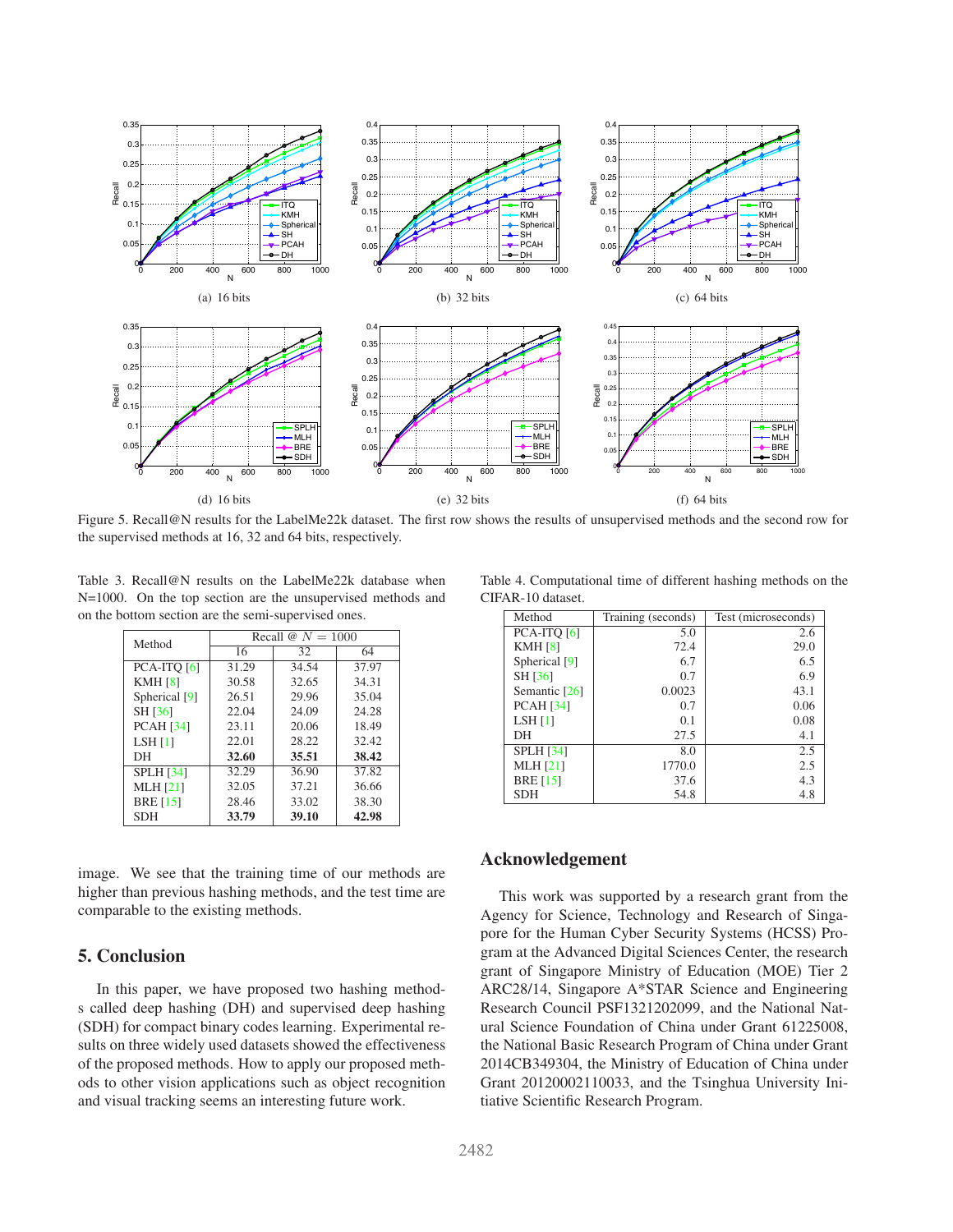<span id="page-7-3"></span>

<span id="page-7-1"></span>Figure 5. Recall@N results for the LabelMe22k dataset. The first row shows the results of unsupervised methods and the second row for the supervised methods at 16, 32 and 64 bits, respectively.

Table 3. Recall@N results on the LabelMe22k database when N=1000. On the top section are the unsupervised methods and on the bottom section are the semi-supervised ones.

<span id="page-7-0"></span>

| Method           | Recall $\omega N = 1000$ |       |       |  |  |  |
|------------------|--------------------------|-------|-------|--|--|--|
|                  | 16                       | 32    | 64    |  |  |  |
| PCA-ITO [6]      | 31.29                    | 34.54 | 37.97 |  |  |  |
| <b>KMH [8]</b>   | 30.58                    | 32.65 | 34.31 |  |  |  |
| Spherical [9]    | 26.51                    | 29.96 | 35.04 |  |  |  |
| SH [36]          | 22.04                    | 24.09 | 24.28 |  |  |  |
| <b>PCAH</b> [34] | 23.11                    | 20.06 | 18.49 |  |  |  |
| <b>LSH</b> [1]   | 22.01                    | 28.22 | 32.42 |  |  |  |
| DН               | 32.60                    | 35.51 | 38.42 |  |  |  |
| <b>SPLH</b> [34] | 32.29                    | 36.90 | 37.82 |  |  |  |
| <b>MLH</b> [21]  | 32.05                    | 37.21 | 36.66 |  |  |  |
| <b>BRE</b> [15]  | 28.46                    | 33.02 | 38.30 |  |  |  |
| <b>SDH</b>       | 33.79                    | 39.10 | 42.98 |  |  |  |

image. We see that the training time of our methods are higher than previous hashing methods, and the test time are comparable to the existing methods.

## **5. Conclusion**

In this paper, we have proposed two hashing methods called deep hashing (DH) and supervised deep hashing (SDH) for compact binary codes learning. Experimental results on three widely used datasets showed the effectiveness of the proposed methods. How to apply our proposed methods to other vision applications such as object recognition and visual tracking seems an interesting future work.

Table 4. Computational time of different hashing methods on the CIFAR-10 dataset.

<span id="page-7-2"></span>

| Method           | Training (seconds) | Test (microseconds) |
|------------------|--------------------|---------------------|
| PCA-ITO [6]      | 5.0                | 2.6                 |
| <b>KMH [8]</b>   | 72.4               | 29.0                |
| Spherical [9]    | 6.7                | 6.5                 |
| SH [36]          | 0.7                | 6.9                 |
| Semantic [26]    | 0.0023             | 43.1                |
| <b>PCAH</b> [34] | 0.7                | 0.06                |
| LSH[1]           | 0.1                | 0.08                |
| DН               | 27.5               | 4.1                 |
| <b>SPLH</b> [34] | 8.0                | 2.5                 |
| <b>MLH</b> [21]  | 1770.0             | 2.5                 |
| <b>BRE</b> [15]  | 37.6               | 4.3                 |
| <b>SDH</b>       | 54.8               | 4.8                 |

## **Acknowledgement**

This work was supported by a research grant from the Agency for Science, Technology and Research of Singapore for the Human Cyber Security Systems (HCSS) Program at the Advanced Digital Sciences Center, the research grant of Singapore Ministry of Education (MOE) Tier 2 ARC28/14, Singapore A\*STAR Science and Engineering Research Council PSF1321202099, and the National Natural Science Foundation of China under Grant 61225008, the National Basic Research Program of China under Grant 2014CB349304, the Ministry of Education of China under Grant 20120002110033, and the Tsinghua University Initiative Scientific Research Program.